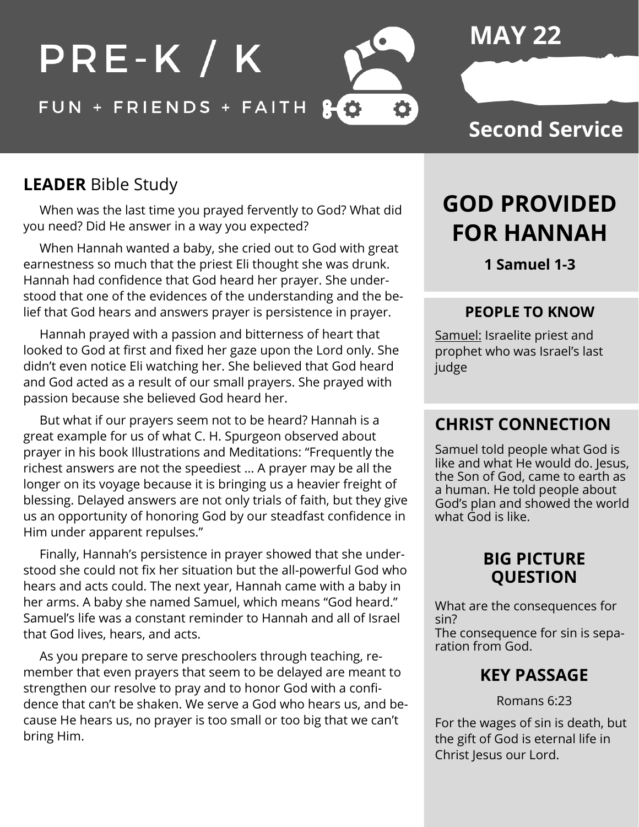

# **MAY 22**

### **Second Service**

### **LEADER** Bible Study

 When was the last time you prayed fervently to God? What did you need? Did He answer in a way you expected?

 When Hannah wanted a baby, she cried out to God with great earnestness so much that the priest Eli thought she was drunk. Hannah had confidence that God heard her prayer. She understood that one of the evidences of the understanding and the belief that God hears and answers prayer is persistence in prayer.

 Hannah prayed with a passion and bitterness of heart that looked to God at first and fixed her gaze upon the Lord only. She didn't even notice Eli watching her. She believed that God heard and God acted as a result of our small prayers. She prayed with passion because she believed God heard her.

 But what if our prayers seem not to be heard? Hannah is a great example for us of what C. H. Spurgeon observed about prayer in his book Illustrations and Meditations: "Frequently the richest answers are not the speediest … A prayer may be all the longer on its voyage because it is bringing us a heavier freight of blessing. Delayed answers are not only trials of faith, but they give us an opportunity of honoring God by our steadfast confidence in Him under apparent repulses."

 Finally, Hannah's persistence in prayer showed that she understood she could not fix her situation but the all-powerful God who hears and acts could. The next year, Hannah came with a baby in her arms. A baby she named Samuel, which means "God heard." Samuel's life was a constant reminder to Hannah and all of Israel that God lives, hears, and acts.

 As you prepare to serve preschoolers through teaching, remember that even prayers that seem to be delayed are meant to strengthen our resolve to pray and to honor God with a confidence that can't be shaken. We serve a God who hears us, and because He hears us, no prayer is too small or too big that we can't bring Him.

# **GOD PROVIDED FOR HANNAH**

**1 Samuel 1-3**

#### **PEOPLE TO KNOW**

Samuel: Israelite priest and prophet who was Israel's last judge

### **CHRIST CONNECTION**

Samuel told people what God is like and what He would do. Jesus, the Son of God, came to earth as a human. He told people about God's plan and showed the world what God is like.

#### **BIG PICTURE QUESTION**

What are the consequences for sin? The consequence for sin is separation from God.

### **KEY PASSAGE**

Romans 6:23

For the wages of sin is death, but the gift of God is eternal life in Christ Jesus our Lord.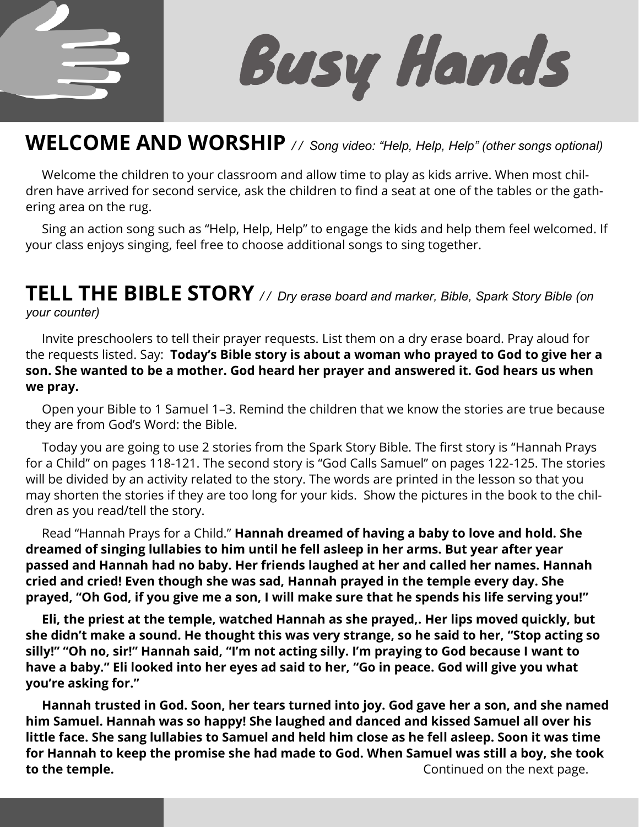

**Busy Hands** 

### **WELCOME AND WORSHIP** */ / Song video: "Help, Help, Help" (other songs optional)*

 Welcome the children to your classroom and allow time to play as kids arrive. When most children have arrived for second service, ask the children to find a seat at one of the tables or the gathering area on the rug.

 Sing an action song such as "Help, Help, Help" to engage the kids and help them feel welcomed. If your class enjoys singing, feel free to choose additional songs to sing together.

#### **TELL THE BIBLE STORY** */ / Dry erase board and marker, Bible, Spark Story Bible (on your counter)*

 Invite preschoolers to tell their prayer requests. List them on a dry erase board. Pray aloud for the requests listed. Say: **Today's Bible story is about a woman who prayed to God to give her a son. She wanted to be a mother. God heard her prayer and answered it. God hears us when we pray.** 

Open your Bible to 1 Samuel 1–3. Remind the children that we know the stories are true because they are from God's Word: the Bible.

 Today you are going to use 2 stories from the Spark Story Bible. The first story is "Hannah Prays for a Child" on pages 118-121. The second story is "God Calls Samuel" on pages 122-125. The stories will be divided by an activity related to the story. The words are printed in the lesson so that you may shorten the stories if they are too long for your kids. Show the pictures in the book to the children as you read/tell the story.

 Read "Hannah Prays for a Child." **Hannah dreamed of having a baby to love and hold. She dreamed of singing lullabies to him until he fell asleep in her arms. But year after year passed and Hannah had no baby. Her friends laughed at her and called her names. Hannah cried and cried! Even though she was sad, Hannah prayed in the temple every day. She prayed, "Oh God, if you give me a son, I will make sure that he spends his life serving you!"**

 **Eli, the priest at the temple, watched Hannah as she prayed,. Her lips moved quickly, but she didn't make a sound. He thought this was very strange, so he said to her, "Stop acting so silly!" "Oh no, sir!" Hannah said, "I'm not acting silly. I'm praying to God because I want to have a baby." Eli looked into her eyes ad said to her, "Go in peace. God will give you what you're asking for."**

 **Hannah trusted in God. Soon, her tears turned into joy. God gave her a son, and she named him Samuel. Hannah was so happy! She laughed and danced and kissed Samuel all over his little face. She sang lullabies to Samuel and held him close as he fell asleep. Soon it was time for Hannah to keep the promise she had made to God. When Samuel was still a boy, she took to the temple. Continued on the next page. Continued on the next page.**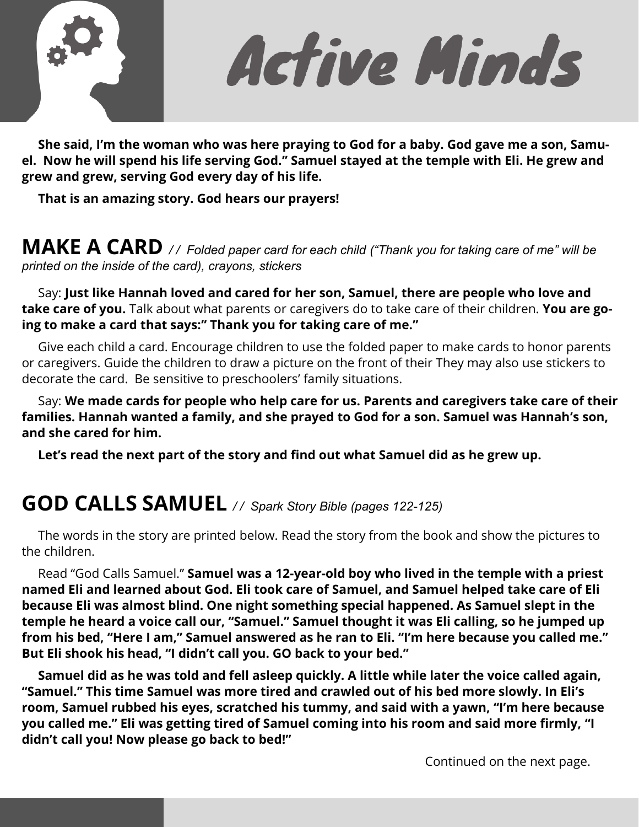

Active Minds

 **She said, I'm the woman who was here praying to God for a baby. God gave me a son, Samuel. Now he will spend his life serving God." Samuel stayed at the temple with Eli. He grew and grew and grew, serving God every day of his life.** 

 **That is an amazing story. God hears our prayers!** 

**MAKE A CARD** */ / Folded paper card for each child ("Thank you for taking care of me" will be printed on the inside of the card), crayons, stickers*

 Say: **Just like Hannah loved and cared for her son, Samuel, there are people who love and take care of you.** Talk about what parents or caregivers do to take care of their children. **You are going to make a card that says:" Thank you for taking care of me."** 

 Give each child a card. Encourage children to use the folded paper to make cards to honor parents or caregivers. Guide the children to draw a picture on the front of their They may also use stickers to decorate the card. Be sensitive to preschoolers' family situations.

 Say: **We made cards for people who help care for us. Parents and caregivers take care of their families. Hannah wanted a family, and she prayed to God for a son. Samuel was Hannah's son, and she cared for him.** 

 **Let's read the next part of the story and find out what Samuel did as he grew up.** 

# **GOD CALLS SAMUEL** */ / Spark Story Bible (pages 122-125)*

 The words in the story are printed below. Read the story from the book and show the pictures to the children.

 Read "God Calls Samuel." **Samuel was a 12-year-old boy who lived in the temple with a priest named Eli and learned about God. Eli took care of Samuel, and Samuel helped take care of Eli because Eli was almost blind. One night something special happened. As Samuel slept in the temple he heard a voice call our, "Samuel." Samuel thought it was Eli calling, so he jumped up from his bed, "Here I am," Samuel answered as he ran to Eli. "I'm here because you called me." But Eli shook his head, "I didn't call you. GO back to your bed."**

 **Samuel did as he was told and fell asleep quickly. A little while later the voice called again, "Samuel." This time Samuel was more tired and crawled out of his bed more slowly. In Eli's room, Samuel rubbed his eyes, scratched his tummy, and said with a yawn, "I'm here because you called me." Eli was getting tired of Samuel coming into his room and said more firmly, "I didn't call you! Now please go back to bed!"**

Continued on the next page.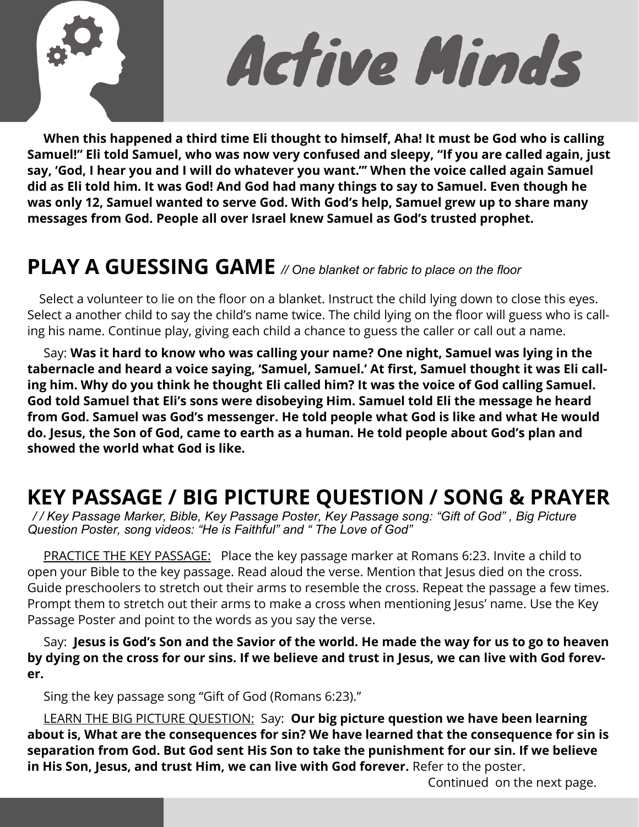

Active Minds

 **When this happened a third time Eli thought to himself, Aha! It must be God who is calling Samuel!" Eli told Samuel, who was now very confused and sleepy, "If you are called again, just say, 'God, I hear you and I will do whatever you want."' When the voice called again Samuel did as Eli told him. It was God! And God had many things to say to Samuel. Even though he was only 12, Samuel wanted to serve God. With God's help, Samuel grew up to share many messages from God. People all over Israel knew Samuel as God's trusted prophet.** 

# **PLAY A GUESSING GAME** *// One blanket or fabric to place on the floor*

 Select a volunteer to lie on the floor on a blanket. Instruct the child lying down to close this eyes. Select a another child to say the child's name twice. The child lying on the floor will guess who is calling his name. Continue play, giving each child a chance to guess the caller or call out a name.

 Say: **Was it hard to know who was calling your name? One night, Samuel was lying in the tabernacle and heard a voice saying, 'Samuel, Samuel.' At first, Samuel thought it was Eli calling him. Why do you think he thought Eli called him? It was the voice of God calling Samuel. God told Samuel that Eli's sons were disobeying Him. Samuel told Eli the message he heard from God. Samuel was God's messenger. He told people what God is like and what He would do. Jesus, the Son of God, came to earth as a human. He told people about God's plan and showed the world what God is like.** 

# **KEY PASSAGE / BIG PICTURE QUESTION / SONG & PRAYER**

*/ / Key Passage Marker, Bible, Key Passage Poster, Key Passage song: "Gift of God" , Big Picture Question Poster, song videos: "He is Faithful" and " The Love of God"*

 PRACTICE THE KEY PASSAGE: Place the key passage marker at Romans 6:23. Invite a child to open your Bible to the key passage. Read aloud the verse. Mention that Jesus died on the cross. Guide preschoolers to stretch out their arms to resemble the cross. Repeat the passage a few times. Prompt them to stretch out their arms to make a cross when mentioning Jesus' name. Use the Key Passage Poster and point to the words as you say the verse.

 Say: **Jesus is God's Son and the Savior of the world. He made the way for us to go to heaven by dying on the cross for our sins. If we believe and trust in Jesus, we can live with God forever.** 

Sing the key passage song "Gift of God (Romans 6:23)."

 LEARN THE BIG PICTURE QUESTION: Say: **Our big picture question we have been learning about is, What are the consequences for sin? We have learned that the consequence for sin is separation from God. But God sent His Son to take the punishment for our sin. If we believe in His Son, Jesus, and trust Him, we can live with God forever.** Refer to the poster.

Continued on the next page.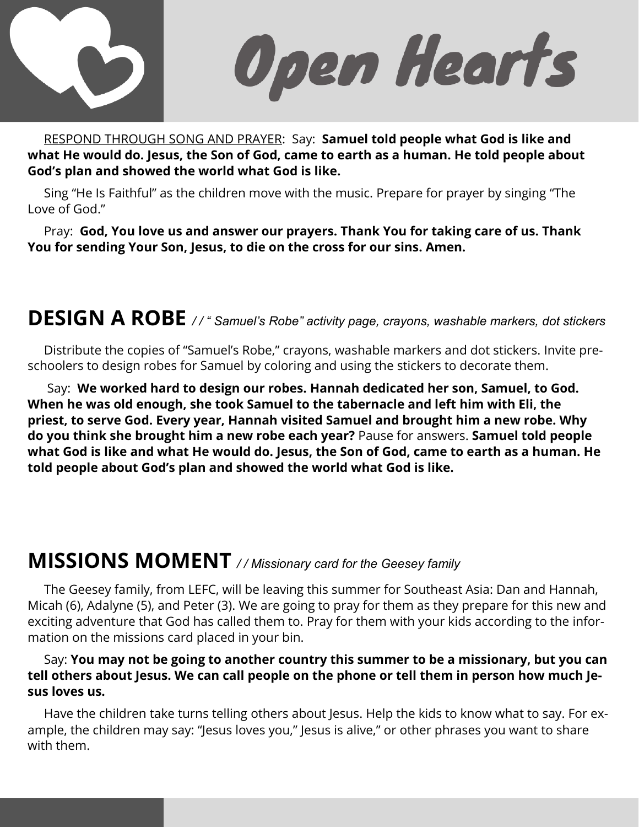

Open Hearts

 RESPOND THROUGH SONG AND PRAYER: Say: **Samuel told people what God is like and what He would do. Jesus, the Son of God, came to earth as a human. He told people about God's plan and showed the world what God is like.** 

Sing "He Is Faithful" as the children move with the music. Prepare for prayer by singing "The Love of God."

 Pray: **God, You love us and answer our prayers. Thank You for taking care of us. Thank You for sending Your Son, Jesus, to die on the cross for our sins. Amen.** 

# **DESIGN A ROBE** */ / " Samuel's Robe" activity page, crayons, washable markers, dot stickers*

 Distribute the copies of "Samuel's Robe," crayons, washable markers and dot stickers. Invite preschoolers to design robes for Samuel by coloring and using the stickers to decorate them.

 Say: **We worked hard to design our robes. Hannah dedicated her son, Samuel, to God. When he was old enough, she took Samuel to the tabernacle and left him with Eli, the priest, to serve God. Every year, Hannah visited Samuel and brought him a new robe. Why do you think she brought him a new robe each year?** Pause for answers. **Samuel told people what God is like and what He would do. Jesus, the Son of God, came to earth as a human. He told people about God's plan and showed the world what God is like.** 

### **MISSIONS MOMENT** */ / Missionary card for the Geesey family*

 The Geesey family, from LEFC, will be leaving this summer for Southeast Asia: Dan and Hannah, Micah (6), Adalyne (5), and Peter (3). We are going to pray for them as they prepare for this new and exciting adventure that God has called them to. Pray for them with your kids according to the information on the missions card placed in your bin.

#### Say: **You may not be going to another country this summer to be a missionary, but you can tell others about Jesus. We can call people on the phone or tell them in person how much Jesus loves us.**

 Have the children take turns telling others about Jesus. Help the kids to know what to say. For example, the children may say: "Jesus loves you," Jesus is alive," or other phrases you want to share with them.